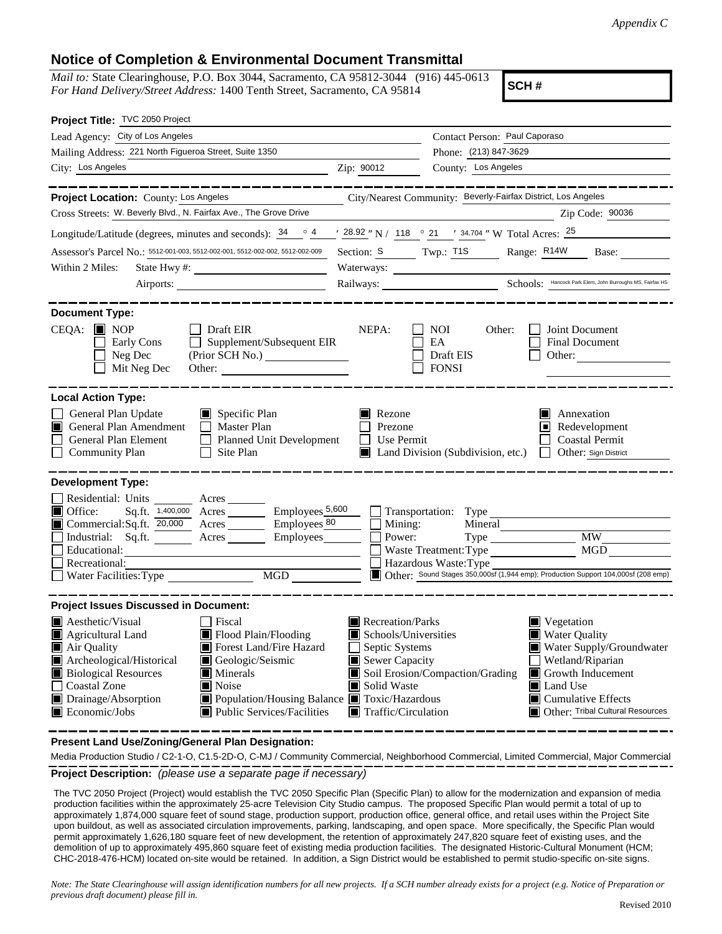## **Notice of Completion & Environmental Document Transmittal**

*Mail to:* State Clearinghouse, P.O. Box 3044, Sacramento, CA 95812-3044 (916) 445-0613 *For Hand Delivery/Street Address:* 1400 Tenth Street, Sacramento, CA 95814

**SCH #**

| Project Title: TVC 2050 Project                                                                                                                                                                                                                                                                                                                                                                                                              |                                                                                                                                   |                                                                                                                                                                                                                                                |  |  |  |  |  |
|----------------------------------------------------------------------------------------------------------------------------------------------------------------------------------------------------------------------------------------------------------------------------------------------------------------------------------------------------------------------------------------------------------------------------------------------|-----------------------------------------------------------------------------------------------------------------------------------|------------------------------------------------------------------------------------------------------------------------------------------------------------------------------------------------------------------------------------------------|--|--|--|--|--|
| Lead Agency: City of Los Angeles                                                                                                                                                                                                                                                                                                                                                                                                             |                                                                                                                                   | Contact Person: Paul Caporaso                                                                                                                                                                                                                  |  |  |  |  |  |
| Mailing Address: 221 North Figueroa Street, Suite 1350                                                                                                                                                                                                                                                                                                                                                                                       |                                                                                                                                   | Phone: (213) 847-3629                                                                                                                                                                                                                          |  |  |  |  |  |
| City: Los Angeles                                                                                                                                                                                                                                                                                                                                                                                                                            | Zip: 90012                                                                                                                        | County: Los Angeles                                                                                                                                                                                                                            |  |  |  |  |  |
| Project Location: County: Los Angeles                                                                                                                                                                                                                                                                                                                                                                                                        |                                                                                                                                   | City/Nearest Community: Beverly-Fairfax District, Los Angeles                                                                                                                                                                                  |  |  |  |  |  |
| Cross Streets: W. Beverly Blvd., N. Fairfax Ave., The Grove Drive                                                                                                                                                                                                                                                                                                                                                                            |                                                                                                                                   | Zip Code: 90036                                                                                                                                                                                                                                |  |  |  |  |  |
| Longitude/Latitude (degrees, minutes and seconds): $\frac{34}{9}$ $\frac{4}{9}$ $\frac{4}{9}$ $\frac{28.92}{9}$ N / $\frac{118}{9}$ $\frac{21}{9}$ $\frac{34.704}{9}$ W Total Acres: $\frac{25}{9}$                                                                                                                                                                                                                                          |                                                                                                                                   |                                                                                                                                                                                                                                                |  |  |  |  |  |
| Assessor's Parcel No.: 5512-001-003, 5512-002-001, 5512-002-002, 5512-002-009                                                                                                                                                                                                                                                                                                                                                                |                                                                                                                                   | Section: S Twp.: T1S Range: R14W Base:                                                                                                                                                                                                         |  |  |  |  |  |
| Within 2 Miles:                                                                                                                                                                                                                                                                                                                                                                                                                              |                                                                                                                                   | Waterways:                                                                                                                                                                                                                                     |  |  |  |  |  |
|                                                                                                                                                                                                                                                                                                                                                                                                                                              |                                                                                                                                   | Railways: <u>Chools: Hancock Park Elem, John Burroughs MS, Fairfax HS</u>                                                                                                                                                                      |  |  |  |  |  |
|                                                                                                                                                                                                                                                                                                                                                                                                                                              |                                                                                                                                   |                                                                                                                                                                                                                                                |  |  |  |  |  |
| <b>Document Type:</b><br>$CEQA:$ MOP<br>$\Box$ Draft EIR<br>Early Cons<br>$\Box$ Supplement/Subsequent EIR<br>Neg Dec<br>Mit Neg Dec<br>Other:                                                                                                                                                                                                                                                                                               | NEPA:                                                                                                                             | NOI.<br>Other:<br>Joint Document<br>EA<br><b>Final Document</b><br>Draft EIS<br>Other:<br><b>FONSI</b>                                                                                                                                         |  |  |  |  |  |
| <b>Local Action Type:</b><br>General Plan Update<br>$\Box$ Specific Plan<br>General Plan Amendment<br>$\Box$ Master Plan<br>General Plan Element<br>Planned Unit Development<br>$\Box$ Site Plan<br><b>Community Plan</b>                                                                                                                                                                                                                    | Rezone<br>Prezone<br>$\Box$ Use Permit                                                                                            | Annexation<br>I I<br>$\blacksquare$ Redevelopment<br><b>Coastal Permit</b><br>Land Division (Subdivision, etc.)<br>Other: Sign District                                                                                                        |  |  |  |  |  |
| <b>Development Type:</b><br>Residential: Units<br>$\mathcal{L}^{\text{max}}_{\text{max}}$<br>Acres<br>Sq.ft. $1,400,000$ Acres Employees $5,600$<br>Office:<br>Commercial:Sq.ft. 20,000 Acres Employees 80<br>Industrial: Sq.ft.<br>Acres Employees<br>Educational:<br>Recreational:                                                                                                                                                         | $\Box$ Mining:<br>Power:                                                                                                          | $\Box$ Transportation: Type<br>Mineral<br><b>MW</b><br>MGD<br>Waste Treatment: Type<br>Hazardous Waste: Type<br>Other: Sound Stages 350,000sf (1,944 emp); Production Support 104,000sf (208 emp)                                              |  |  |  |  |  |
| <b>Project Issues Discussed in Document:</b>                                                                                                                                                                                                                                                                                                                                                                                                 |                                                                                                                                   |                                                                                                                                                                                                                                                |  |  |  |  |  |
| $\blacksquare$ Aesthetic/Visual<br>  Fiscal<br>Agricultural Land<br>Flood Plain/Flooding<br>Forest Land/Fire Hazard<br>$\blacksquare$ Air Quality<br>Archeological/Historical<br>Geologic/Seismic<br><b>Biological Resources</b><br>$\blacksquare$ Minerals<br><b>Coastal Zone</b><br>$\blacksquare$ Noise<br>■ Population/Housing Balance ■ Toxic/Hazardous<br>$\Box$ Drainage/Absorption<br>Economic/Jobs<br> ■ Public Services/Facilities | Recreation/Parks<br>Schools/Universities<br>Septic Systems<br>Sewer Capacity<br>Solid Waste<br>$\blacksquare$ Traffic/Circulation | $\blacksquare$ Vegetation<br><b>Water Quality</b><br>Water Supply/Groundwater<br>Wetland/Riparian<br>Soil Erosion/Compaction/Grading<br>Growth Inducement<br>Land Use<br>$\blacksquare$ Cumulative Effects<br>Other: Tribal Cultural Resources |  |  |  |  |  |

**Present Land Use/Zoning/General Plan Designation:**

**Project Description:** *(please use a separate page if necessary)* Media Production Studio / C2-1-O, C1.5-2D-O, C-MJ / Community Commercial, Neighborhood Commercial, Limited Commercial, Major Commercial

 The TVC 2050 Project (Project) would establish the TVC 2050 Specific Plan (Specific Plan) to allow for the modernization and expansion of media production facilities within the approximately 25-acre Television City Studio campus. The proposed Specific Plan would permit a total of up to approximately 1,874,000 square feet of sound stage, production support, production office, general office, and retail uses within the Project Site upon buildout, as well as associated circulation improvements, parking, landscaping, and open space. More specifically, the Specific Plan would permit approximately 1,626,180 square feet of new development, the retention of approximately 247,820 square feet of existing uses, and the demolition of up to approximately 495,860 square feet of existing media production facilities. The designated Historic-Cultural Monument (HCM; CHC-2018-476-HCM) located on-site would be retained. In addition, a Sign District would be established to permit studio-specific on-site signs.

*Note: The State Clearinghouse will assign identification numbers for all new projects. If a SCH number already exists for a project (e.g. Notice of Preparation or previous draft document) please fill in.*